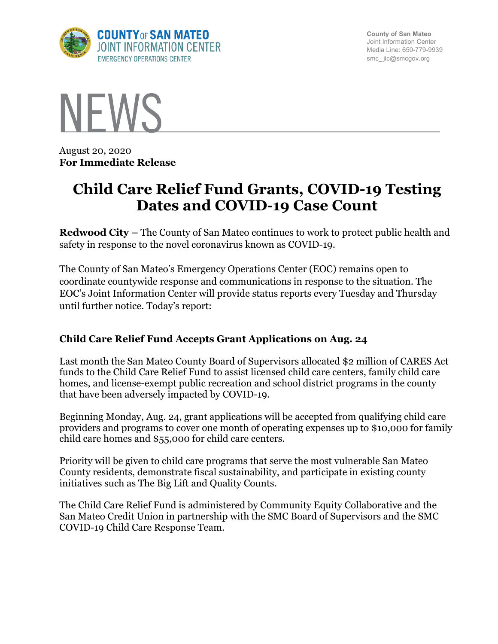

**County of San Mateo** Joint Information Center Media Line: 650-779-9939 smc\_ jic@smcgov.org



August 20, 2020 **For Immediate Release**

# **Child Care Relief Fund Grants, COVID-19 Testing Dates and COVID-19 Case Count**

**Redwood City –** The County of San Mateo continues to work to protect public health and safety in response to the novel coronavirus known as COVID-19.

The County of San Mateo's Emergency Operations Center (EOC) remains open to coordinate countywide response and communications in response to the situation. The EOC's Joint Information Center will provide status reports every Tuesday and Thursday until further notice. Today's report:

# **Child Care Relief Fund Accepts Grant Applications on Aug. 24**

Last month the San Mateo County Board of Supervisors allocated \$2 million of CARES Act funds to the Child Care Relief Fund to assist licensed child care centers, family child care homes, and license-exempt public recreation and school district programs in the county that have been adversely impacted by COVID-19.

Beginning Monday, Aug. 24, grant applications will be accepted from qualifying child care providers and programs to cover one month of operating expenses up to \$10,000 for family child care homes and \$55,000 for child care centers.

Priority will be given to child care programs that serve the most vulnerable San Mateo County residents, demonstrate fiscal sustainability, and participate in existing county initiatives such as The Big Lift and Quality Counts.

The Child Care Relief Fund is administered by Community Equity Collaborative and the San Mateo Credit Union in partnership with the SMC Board of Supervisors and the SMC COVID-19 Child Care Response Team.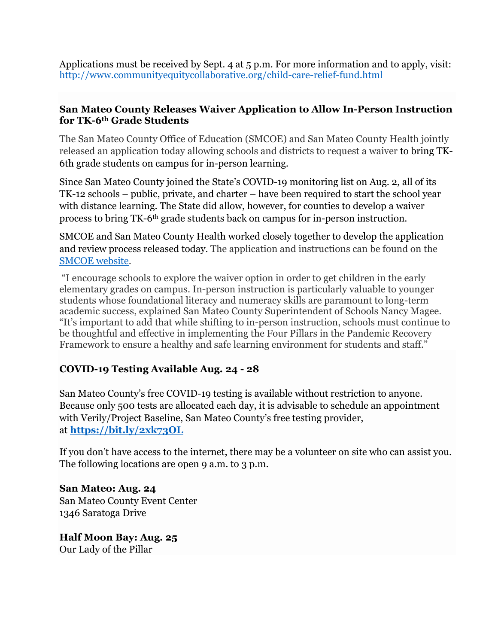Applications must be received by Sept. 4 at 5 p.m. For more information and to apply, visit: http://www.communityequitycollaborative.org/child-care-relief-fund.html

# **San Mateo County Releases Waiver Application to Allow In-Person Instruction for TK-6th Grade Students**

The San Mateo County Office of Education (SMCOE) and San Mateo County Health jointly released an application today allowing schools and districts to request a waiver to bring TK-6th grade students on campus for in-person learning.

Since San Mateo County joined the State's COVID-19 monitoring list on Aug. 2, all of its TK-12 schools – public, private, and charter – have been required to start the school year with distance learning. The State did allow, however, for counties to develop a waiver process to bring TK-6th grade students back on campus for in-person instruction.

SMCOE and San Mateo County Health worked closely together to develop the application and review process released today. The application and instructions can be found on the SMCOE website.

"I encourage schools to explore the waiver option in order to get children in the early elementary grades on campus. In-person instruction is particularly valuable to younger students whose foundational literacy and numeracy skills are paramount to long-term academic success, explained San Mateo County Superintendent of Schools Nancy Magee. "It's important to add that while shifting to in-person instruction, schools must continue to be thoughtful and effective in implementing the Four Pillars in the Pandemic Recovery Framework to ensure a healthy and safe learning environment for students and staff."

# **COVID-19 Testing Available Aug. 24 - 28**

San Mateo County's free COVID-19 testing is available without restriction to anyone. Because only 500 tests are allocated each day, it is advisable to schedule an appointment with Verily/Project Baseline, San Mateo County's free testing provider, at **https://bit.ly/2xk73OL**

If you don't have access to the internet, there may be a volunteer on site who can assist you. The following locations are open 9 a.m. to 3 p.m.

**San Mateo: Aug. 24** San Mateo County Event Center 1346 Saratoga Drive

**Half Moon Bay: Aug. 25** Our Lady of the Pillar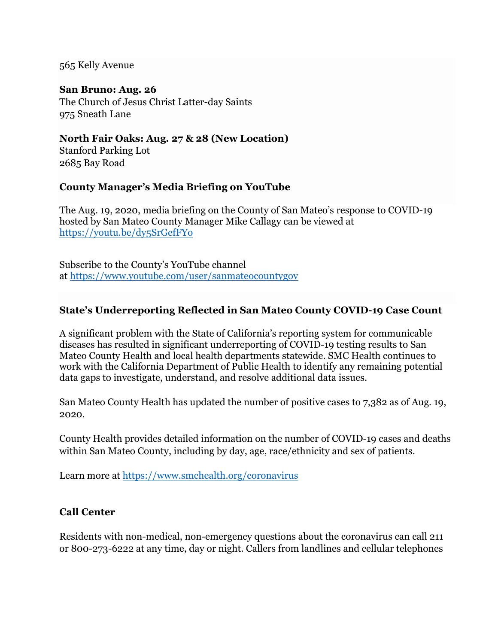565 Kelly Avenue

#### **San Bruno: Aug. 26**

The Church of Jesus Christ Latter-day Saints 975 Sneath Lane

### **North Fair Oaks: Aug. 27 & 28 (New Location)**

Stanford Parking Lot 2685 Bay Road

# **County Manager's Media Briefing on YouTube**

The Aug. 19, 2020, media briefing on the County of San Mateo's response to COVID-19 hosted by San Mateo County Manager Mike Callagy can be viewed at https://youtu.be/dy5SrGefFYo

Subscribe to the County's YouTube channel at https://www.youtube.com/user/sanmateocountygov

# **State's Underreporting Reflected in San Mateo County COVID-19 Case Count**

A significant problem with the State of California's reporting system for communicable diseases has resulted in significant underreporting of COVID-19 testing results to San Mateo County Health and local health departments statewide. SMC Health continues to work with the California Department of Public Health to identify any remaining potential data gaps to investigate, understand, and resolve additional data issues.

San Mateo County Health has updated the number of positive cases to 7,382 as of Aug. 19, 2020.

County Health provides detailed information on the number of COVID-19 cases and deaths within San Mateo County, including by day, age, race/ethnicity and sex of patients.

Learn more at https://www.smchealth.org/coronavirus

# **Call Center**

Residents with non-medical, non-emergency questions about the coronavirus can call 211 or 800-273-6222 at any time, day or night. Callers from landlines and cellular telephones